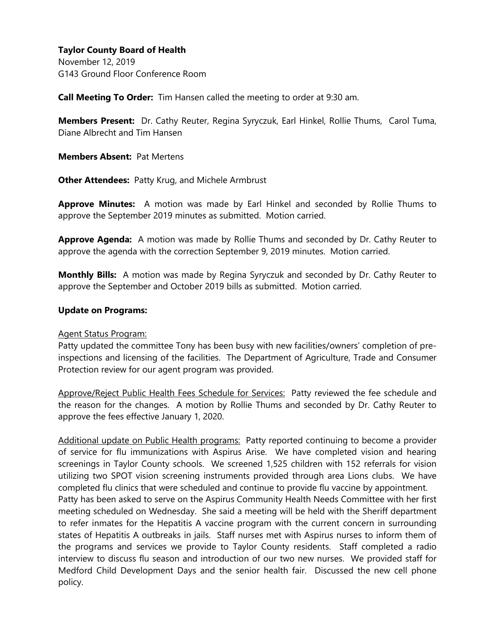November 12, 2019 G143 Ground Floor Conference Room

**Call Meeting To Order:** Tim Hansen called the meeting to order at 9:30 am.

**Members Present:** Dr. Cathy Reuter, Regina Syryczuk, Earl Hinkel, Rollie Thums, Carol Tuma, Diane Albrecht and Tim Hansen

**Members Absent:** Pat Mertens

**Other Attendees:** Patty Krug, and Michele Armbrust

**Approve Minutes:** A motion was made by Earl Hinkel and seconded by Rollie Thums to approve the September 2019 minutes as submitted. Motion carried.

**Approve Agenda:** A motion was made by Rollie Thums and seconded by Dr. Cathy Reuter to approve the agenda with the correction September 9, 2019 minutes. Motion carried.

**Monthly Bills:** A motion was made by Regina Syryczuk and seconded by Dr. Cathy Reuter to approve the September and October 2019 bills as submitted. Motion carried.

### **Update on Programs:**

#### Agent Status Program:

Patty updated the committee Tony has been busy with new facilities/owners' completion of preinspections and licensing of the facilities. The Department of Agriculture, Trade and Consumer Protection review for our agent program was provided.

Approve/Reject Public Health Fees Schedule for Services: Patty reviewed the fee schedule and the reason for the changes. A motion by Rollie Thums and seconded by Dr. Cathy Reuter to approve the fees effective January 1, 2020.

Additional update on Public Health programs: Patty reported continuing to become a provider of service for flu immunizations with Aspirus Arise. We have completed vision and hearing screenings in Taylor County schools. We screened 1,525 children with 152 referrals for vision utilizing two SPOT vision screening instruments provided through area Lions clubs. We have completed flu clinics that were scheduled and continue to provide flu vaccine by appointment. Patty has been asked to serve on the Aspirus Community Health Needs Committee with her first meeting scheduled on Wednesday. She said a meeting will be held with the Sheriff department to refer inmates for the Hepatitis A vaccine program with the current concern in surrounding states of Hepatitis A outbreaks in jails. Staff nurses met with Aspirus nurses to inform them of the programs and services we provide to Taylor County residents. Staff completed a radio interview to discuss flu season and introduction of our two new nurses. We provided staff for Medford Child Development Days and the senior health fair. Discussed the new cell phone policy.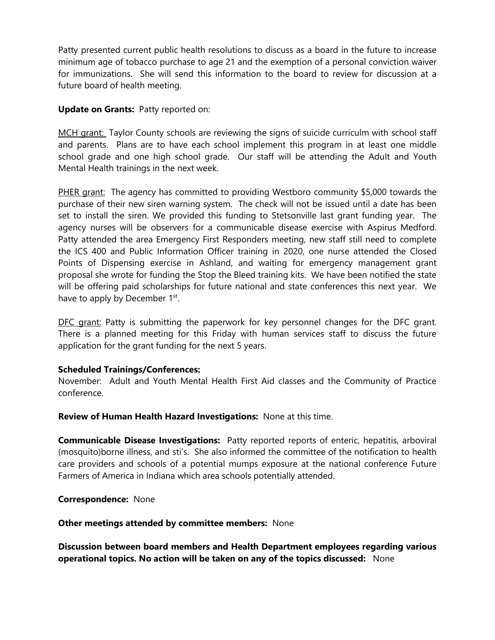Patty presented current public health resolutions to discuss as a board in the future to increase minimum age of tobacco purchase to age 21 and the exemption of a personal conviction waiver for immunizations. She will send this information to the board to review for discussion at a future board of health meeting.

# **Update on Grants:** Patty reported on:

MCH grant: Taylor County schools are reviewing the signs of suicide curriculm with school staff and parents. Plans are to have each school implement this program in at least one middle school grade and one high school grade. Our staff will be attending the Adult and Youth Mental Health trainings in the next week.

PHER grant: The agency has committed to providing Westboro community \$5,000 towards the purchase of their new siren warning system. The check will not be issued until a date has been set to install the siren. We provided this funding to Stetsonville last grant funding year. The agency nurses will be observers for a communicable disease exercise with Aspirus Medford. Patty attended the area Emergency First Responders meeting, new staff still need to complete the ICS 400 and Public Information Officer training in 2020, one nurse attended the Closed Points of Dispensing exercise in Ashland, and waiting for emergency management grant proposal she wrote for funding the Stop the Bleed training kits. We have been notified the state will be offering paid scholarships for future national and state conferences this next year. We have to apply by December 1st.

DFC grant: Patty is submitting the paperwork for key personnel changes for the DFC grant. There is a planned meeting for this Friday with human services staff to discuss the future application for the grant funding for the next 5 years.

### **Scheduled Trainings/Conferences:**

November: Adult and Youth Mental Health First Aid classes and the Community of Practice conference.

**Review of Human Health Hazard Investigations:** None at this time.

**Communicable Disease Investigations:** Patty reported reports of enteric, hepatitis, arboviral (mosquito)borne illness, and sti's. She also informed the committee of the notification to health care providers and schools of a potential mumps exposure at the national conference Future Farmers of America in Indiana which area schools potentially attended.

**Correspondence:** None

**Other meetings attended by committee members:** None

**Discussion between board members and Health Department employees regarding various operational topics. No action will be taken on any of the topics discussed:** None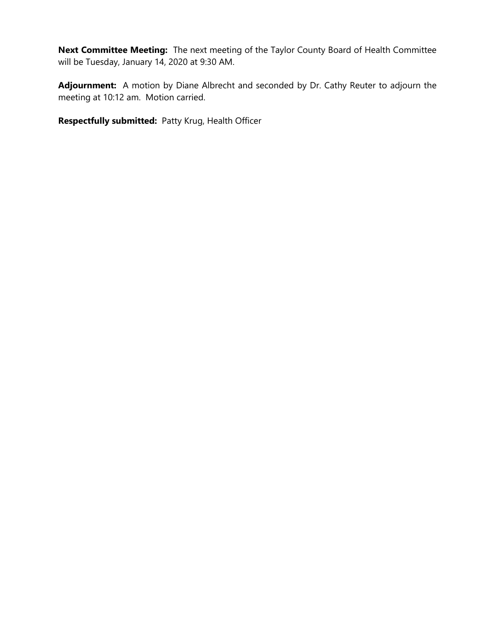**Next Committee Meeting:** The next meeting of the Taylor County Board of Health Committee will be Tuesday, January 14, 2020 at 9:30 AM.

**Adjournment:** A motion by Diane Albrecht and seconded by Dr. Cathy Reuter to adjourn the meeting at 10:12 am. Motion carried.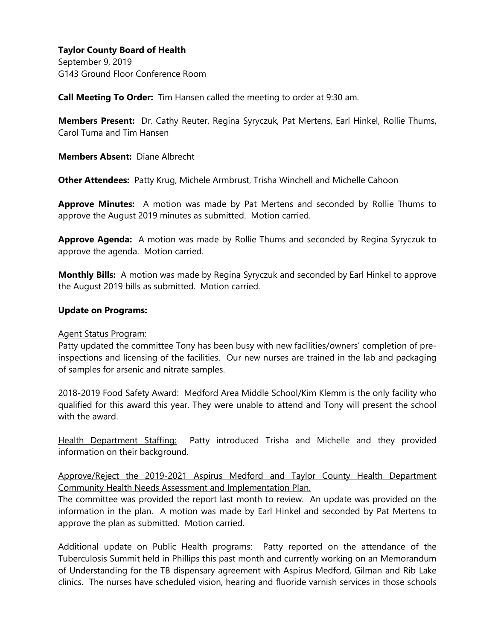September 9, 2019 G143 Ground Floor Conference Room

**Call Meeting To Order:** Tim Hansen called the meeting to order at 9:30 am.

**Members Present:** Dr. Cathy Reuter, Regina Syryczuk, Pat Mertens, Earl Hinkel, Rollie Thums, Carol Tuma and Tim Hansen

**Members Absent:** Diane Albrecht

**Other Attendees:** Patty Krug, Michele Armbrust, Trisha Winchell and Michelle Cahoon

**Approve Minutes:** A motion was made by Pat Mertens and seconded by Rollie Thums to approve the August 2019 minutes as submitted. Motion carried.

**Approve Agenda:** A motion was made by Rollie Thums and seconded by Regina Syryczuk to approve the agenda. Motion carried.

**Monthly Bills:** A motion was made by Regina Syryczuk and seconded by Earl Hinkel to approve the August 2019 bills as submitted. Motion carried.

### **Update on Programs:**

#### Agent Status Program:

Patty updated the committee Tony has been busy with new facilities/owners' completion of preinspections and licensing of the facilities. Our new nurses are trained in the lab and packaging of samples for arsenic and nitrate samples.

2018-2019 Food Safety Award: Medford Area Middle School/Kim Klemm is the only facility who qualified for this award this year. They were unable to attend and Tony will present the school with the award.

Health Department Staffing: Patty introduced Trisha and Michelle and they provided information on their background.

Approve/Reject the 2019-2021 Aspirus Medford and Taylor County Health Department Community Health Needs Assessment and Implementation Plan.

The committee was provided the report last month to review. An update was provided on the information in the plan. A motion was made by Earl Hinkel and seconded by Pat Mertens to approve the plan as submitted. Motion carried.

Additional update on Public Health programs: Patty reported on the attendance of the Tuberculosis Summit held in Phillips this past month and currently working on an Memorandum of Understanding for the TB dispensary agreement with Aspirus Medford, Gilman and Rib Lake clinics. The nurses have scheduled vision, hearing and fluoride varnish services in those schools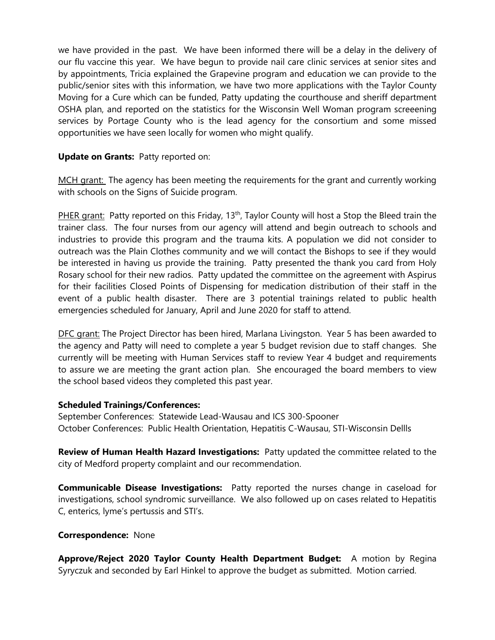we have provided in the past. We have been informed there will be a delay in the delivery of our flu vaccine this year. We have begun to provide nail care clinic services at senior sites and by appointments, Tricia explained the Grapevine program and education we can provide to the public/senior sites with this information, we have two more applications with the Taylor County Moving for a Cure which can be funded, Patty updating the courthouse and sheriff department OSHA plan, and reported on the statistics for the Wisconsin Well Woman program screeening services by Portage County who is the lead agency for the consortium and some missed opportunities we have seen locally for women who might qualify.

# **Update on Grants:** Patty reported on:

MCH grant: The agency has been meeting the requirements for the grant and currently working with schools on the Signs of Suicide program.

PHER grant: Patty reported on this Friday, 13<sup>th</sup>, Taylor County will host a Stop the Bleed train the trainer class. The four nurses from our agency will attend and begin outreach to schools and industries to provide this program and the trauma kits. A population we did not consider to outreach was the Plain Clothes community and we will contact the Bishops to see if they would be interested in having us provide the training. Patty presented the thank you card from Holy Rosary school for their new radios. Patty updated the committee on the agreement with Aspirus for their facilities Closed Points of Dispensing for medication distribution of their staff in the event of a public health disaster. There are 3 potential trainings related to public health emergencies scheduled for January, April and June 2020 for staff to attend.

DFC grant: The Project Director has been hired, Marlana Livingston. Year 5 has been awarded to the agency and Patty will need to complete a year 5 budget revision due to staff changes. She currently will be meeting with Human Services staff to review Year 4 budget and requirements to assure we are meeting the grant action plan. She encouraged the board members to view the school based videos they completed this past year.

### **Scheduled Trainings/Conferences:**

September Conferences: Statewide Lead-Wausau and ICS 300-Spooner October Conferences: Public Health Orientation, Hepatitis C-Wausau, STI-Wisconsin Dellls

**Review of Human Health Hazard Investigations:** Patty updated the committee related to the city of Medford property complaint and our recommendation.

**Communicable Disease Investigations:** Patty reported the nurses change in caseload for investigations, school syndromic surveillance. We also followed up on cases related to Hepatitis C, enterics, lyme's pertussis and STI's.

### **Correspondence:** None

**Approve/Reject 2020 Taylor County Health Department Budget:** A motion by Regina Syryczuk and seconded by Earl Hinkel to approve the budget as submitted. Motion carried.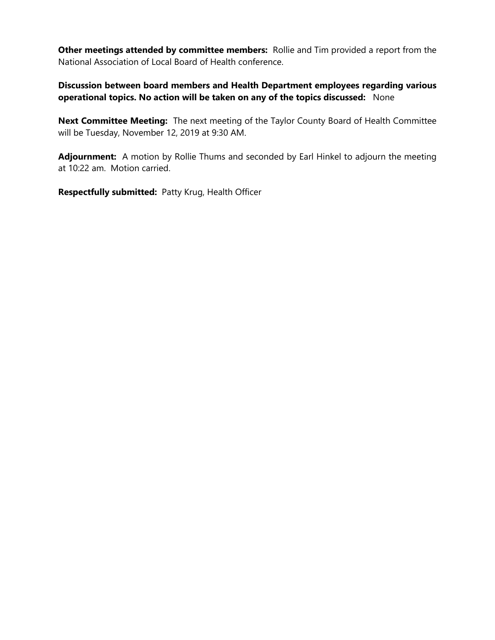**Other meetings attended by committee members:** Rollie and Tim provided a report from the National Association of Local Board of Health conference.

**Discussion between board members and Health Department employees regarding various operational topics. No action will be taken on any of the topics discussed:** None

**Next Committee Meeting:** The next meeting of the Taylor County Board of Health Committee will be Tuesday, November 12, 2019 at 9:30 AM.

**Adjournment:** A motion by Rollie Thums and seconded by Earl Hinkel to adjourn the meeting at 10:22 am. Motion carried.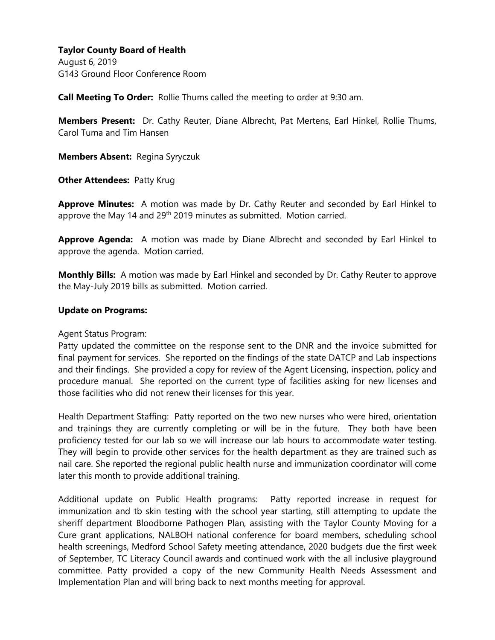August 6, 2019 G143 Ground Floor Conference Room

**Call Meeting To Order:** Rollie Thums called the meeting to order at 9:30 am.

**Members Present:** Dr. Cathy Reuter, Diane Albrecht, Pat Mertens, Earl Hinkel, Rollie Thums, Carol Tuma and Tim Hansen

**Members Absent:** Regina Syryczuk

**Other Attendees: Patty Krug** 

**Approve Minutes:** A motion was made by Dr. Cathy Reuter and seconded by Earl Hinkel to approve the May 14 and 29<sup>th</sup> 2019 minutes as submitted. Motion carried.

**Approve Agenda:** A motion was made by Diane Albrecht and seconded by Earl Hinkel to approve the agenda. Motion carried.

**Monthly Bills:** A motion was made by Earl Hinkel and seconded by Dr. Cathy Reuter to approve the May-July 2019 bills as submitted. Motion carried.

### **Update on Programs:**

Agent Status Program:

Patty updated the committee on the response sent to the DNR and the invoice submitted for final payment for services. She reported on the findings of the state DATCP and Lab inspections and their findings. She provided a copy for review of the Agent Licensing, inspection, policy and procedure manual. She reported on the current type of facilities asking for new licenses and those facilities who did not renew their licenses for this year.

Health Department Staffing: Patty reported on the two new nurses who were hired, orientation and trainings they are currently completing or will be in the future. They both have been proficiency tested for our lab so we will increase our lab hours to accommodate water testing. They will begin to provide other services for the health department as they are trained such as nail care. She reported the regional public health nurse and immunization coordinator will come later this month to provide additional training.

Additional update on Public Health programs: Patty reported increase in request for immunization and tb skin testing with the school year starting, still attempting to update the sheriff department Bloodborne Pathogen Plan, assisting with the Taylor County Moving for a Cure grant applications, NALBOH national conference for board members, scheduling school health screenings, Medford School Safety meeting attendance, 2020 budgets due the first week of September, TC Literacy Council awards and continued work with the all inclusive playground committee. Patty provided a copy of the new Community Health Needs Assessment and Implementation Plan and will bring back to next months meeting for approval.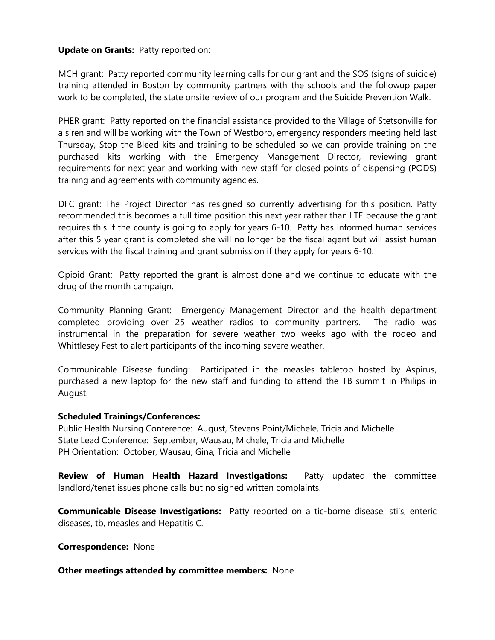### **Update on Grants:** Patty reported on:

MCH grant: Patty reported community learning calls for our grant and the SOS (signs of suicide) training attended in Boston by community partners with the schools and the followup paper work to be completed, the state onsite review of our program and the Suicide Prevention Walk.

PHER grant: Patty reported on the financial assistance provided to the Village of Stetsonville for a siren and will be working with the Town of Westboro, emergency responders meeting held last Thursday, Stop the Bleed kits and training to be scheduled so we can provide training on the purchased kits working with the Emergency Management Director, reviewing grant requirements for next year and working with new staff for closed points of dispensing (PODS) training and agreements with community agencies.

DFC grant: The Project Director has resigned so currently advertising for this position. Patty recommended this becomes a full time position this next year rather than LTE because the grant requires this if the county is going to apply for years 6-10. Patty has informed human services after this 5 year grant is completed she will no longer be the fiscal agent but will assist human services with the fiscal training and grant submission if they apply for years 6-10.

Opioid Grant: Patty reported the grant is almost done and we continue to educate with the drug of the month campaign.

Community Planning Grant: Emergency Management Director and the health department completed providing over 25 weather radios to community partners. The radio was instrumental in the preparation for severe weather two weeks ago with the rodeo and Whittlesey Fest to alert participants of the incoming severe weather.

Communicable Disease funding: Participated in the measles tabletop hosted by Aspirus, purchased a new laptop for the new staff and funding to attend the TB summit in Philips in August.

#### **Scheduled Trainings/Conferences:**

Public Health Nursing Conference: August, Stevens Point/Michele, Tricia and Michelle State Lead Conference: September, Wausau, Michele, Tricia and Michelle PH Orientation: October, Wausau, Gina, Tricia and Michelle

**Review of Human Health Hazard Investigations:** Patty updated the committee landlord/tenet issues phone calls but no signed written complaints.

**Communicable Disease Investigations:** Patty reported on a tic-borne disease, sti's, enteric diseases, tb, measles and Hepatitis C.

**Correspondence:** None

#### **Other meetings attended by committee members:** None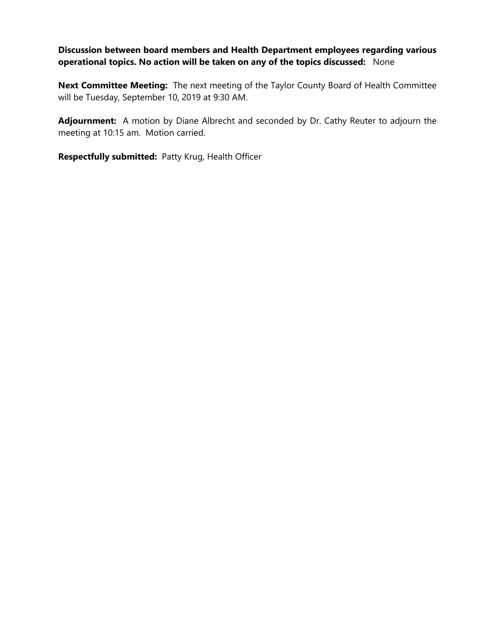# **Discussion between board members and Health Department employees regarding various operational topics. No action will be taken on any of the topics discussed:** None

**Next Committee Meeting:** The next meeting of the Taylor County Board of Health Committee will be Tuesday, September 10, 2019 at 9:30 AM.

**Adjournment:** A motion by Diane Albrecht and seconded by Dr. Cathy Reuter to adjourn the meeting at 10:15 am. Motion carried.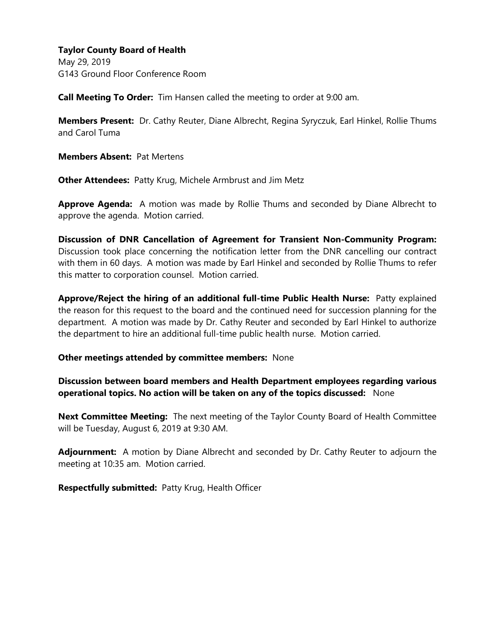May 29, 2019 G143 Ground Floor Conference Room

**Call Meeting To Order:** Tim Hansen called the meeting to order at 9:00 am.

**Members Present:** Dr. Cathy Reuter, Diane Albrecht, Regina Syryczuk, Earl Hinkel, Rollie Thums and Carol Tuma

**Members Absent:** Pat Mertens

**Other Attendees:** Patty Krug, Michele Armbrust and Jim Metz

**Approve Agenda:** A motion was made by Rollie Thums and seconded by Diane Albrecht to approve the agenda. Motion carried.

**Discussion of DNR Cancellation of Agreement for Transient Non-Community Program:**  Discussion took place concerning the notification letter from the DNR cancelling our contract with them in 60 days. A motion was made by Earl Hinkel and seconded by Rollie Thums to refer this matter to corporation counsel. Motion carried.

**Approve/Reject the hiring of an additional full-time Public Health Nurse:** Patty explained the reason for this request to the board and the continued need for succession planning for the department. A motion was made by Dr. Cathy Reuter and seconded by Earl Hinkel to authorize the department to hire an additional full-time public health nurse. Motion carried.

### **Other meetings attended by committee members:** None

**Discussion between board members and Health Department employees regarding various operational topics. No action will be taken on any of the topics discussed:** None

**Next Committee Meeting:** The next meeting of the Taylor County Board of Health Committee will be Tuesday, August 6, 2019 at 9:30 AM.

**Adjournment:** A motion by Diane Albrecht and seconded by Dr. Cathy Reuter to adjourn the meeting at 10:35 am. Motion carried.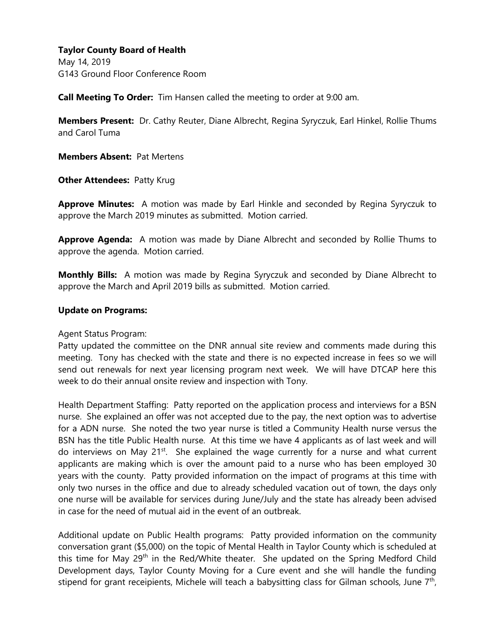May 14, 2019 G143 Ground Floor Conference Room

**Call Meeting To Order:** Tim Hansen called the meeting to order at 9:00 am.

**Members Present:** Dr. Cathy Reuter, Diane Albrecht, Regina Syryczuk, Earl Hinkel, Rollie Thums and Carol Tuma

**Members Absent:** Pat Mertens

**Other Attendees: Patty Krug** 

**Approve Minutes:** A motion was made by Earl Hinkle and seconded by Regina Syryczuk to approve the March 2019 minutes as submitted. Motion carried.

**Approve Agenda:** A motion was made by Diane Albrecht and seconded by Rollie Thums to approve the agenda. Motion carried.

**Monthly Bills:** A motion was made by Regina Syryczuk and seconded by Diane Albrecht to approve the March and April 2019 bills as submitted. Motion carried.

### **Update on Programs:**

Agent Status Program:

Patty updated the committee on the DNR annual site review and comments made during this meeting. Tony has checked with the state and there is no expected increase in fees so we will send out renewals for next year licensing program next week. We will have DTCAP here this week to do their annual onsite review and inspection with Tony.

Health Department Staffing: Patty reported on the application process and interviews for a BSN nurse. She explained an offer was not accepted due to the pay, the next option was to advertise for a ADN nurse. She noted the two year nurse is titled a Community Health nurse versus the BSN has the title Public Health nurse. At this time we have 4 applicants as of last week and will do interviews on May  $21^{st}$ . She explained the wage currently for a nurse and what current applicants are making which is over the amount paid to a nurse who has been employed 30 years with the county. Patty provided information on the impact of programs at this time with only two nurses in the office and due to already scheduled vacation out of town, the days only one nurse will be available for services during June/July and the state has already been advised in case for the need of mutual aid in the event of an outbreak.

Additional update on Public Health programs: Patty provided information on the community conversation grant (\$5,000) on the topic of Mental Health in Taylor County which is scheduled at this time for May 29<sup>th</sup> in the Red/White theater. She updated on the Spring Medford Child Development days, Taylor County Moving for a Cure event and she will handle the funding stipend for grant receipients, Michele will teach a babysitting class for Gilman schools, June 7<sup>th</sup>,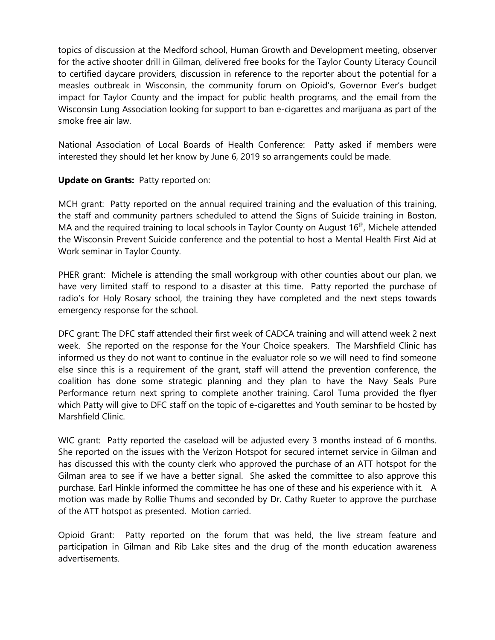topics of discussion at the Medford school, Human Growth and Development meeting, observer for the active shooter drill in Gilman, delivered free books for the Taylor County Literacy Council to certified daycare providers, discussion in reference to the reporter about the potential for a measles outbreak in Wisconsin, the community forum on Opioid's, Governor Ever's budget impact for Taylor County and the impact for public health programs, and the email from the Wisconsin Lung Association looking for support to ban e-cigarettes and marijuana as part of the smoke free air law.

National Association of Local Boards of Health Conference: Patty asked if members were interested they should let her know by June 6, 2019 so arrangements could be made.

# **Update on Grants:** Patty reported on:

MCH grant: Patty reported on the annual required training and the evaluation of this training, the staff and community partners scheduled to attend the Signs of Suicide training in Boston, MA and the required training to local schools in Taylor County on August 16<sup>th</sup>, Michele attended the Wisconsin Prevent Suicide conference and the potential to host a Mental Health First Aid at Work seminar in Taylor County.

PHER grant: Michele is attending the small workgroup with other counties about our plan, we have very limited staff to respond to a disaster at this time. Patty reported the purchase of radio's for Holy Rosary school, the training they have completed and the next steps towards emergency response for the school.

DFC grant: The DFC staff attended their first week of CADCA training and will attend week 2 next week. She reported on the response for the Your Choice speakers. The Marshfield Clinic has informed us they do not want to continue in the evaluator role so we will need to find someone else since this is a requirement of the grant, staff will attend the prevention conference, the coalition has done some strategic planning and they plan to have the Navy Seals Pure Performance return next spring to complete another training. Carol Tuma provided the flyer which Patty will give to DFC staff on the topic of e-cigarettes and Youth seminar to be hosted by Marshfield Clinic.

WIC grant: Patty reported the caseload will be adjusted every 3 months instead of 6 months. She reported on the issues with the Verizon Hotspot for secured internet service in Gilman and has discussed this with the county clerk who approved the purchase of an ATT hotspot for the Gilman area to see if we have a better signal. She asked the committee to also approve this purchase. Earl Hinkle informed the committee he has one of these and his experience with it. A motion was made by Rollie Thums and seconded by Dr. Cathy Rueter to approve the purchase of the ATT hotspot as presented. Motion carried.

Opioid Grant: Patty reported on the forum that was held, the live stream feature and participation in Gilman and Rib Lake sites and the drug of the month education awareness advertisements.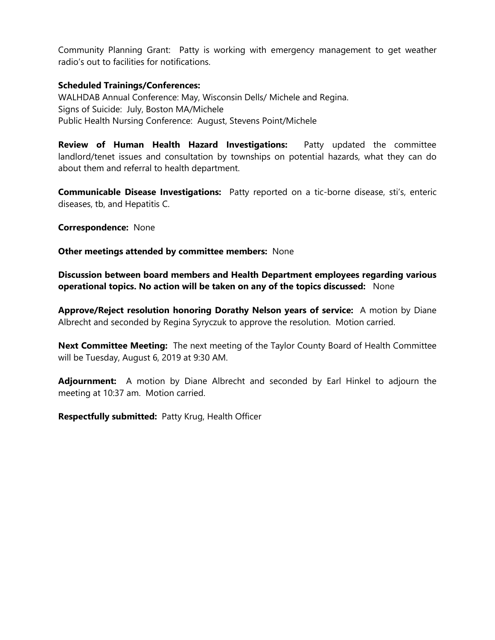Community Planning Grant: Patty is working with emergency management to get weather radio's out to facilities for notifications.

### **Scheduled Trainings/Conferences:**

WALHDAB Annual Conference: May, Wisconsin Dells/ Michele and Regina. Signs of Suicide: July, Boston MA/Michele Public Health Nursing Conference: August, Stevens Point/Michele

**Review of Human Health Hazard Investigations:** Patty updated the committee landlord/tenet issues and consultation by townships on potential hazards, what they can do about them and referral to health department.

**Communicable Disease Investigations:** Patty reported on a tic-borne disease, sti's, enteric diseases, tb, and Hepatitis C.

**Correspondence:** None

**Other meetings attended by committee members:** None

**Discussion between board members and Health Department employees regarding various operational topics. No action will be taken on any of the topics discussed:** None

**Approve/Reject resolution honoring Dorathy Nelson years of service:** A motion by Diane Albrecht and seconded by Regina Syryczuk to approve the resolution. Motion carried.

**Next Committee Meeting:** The next meeting of the Taylor County Board of Health Committee will be Tuesday, August 6, 2019 at 9:30 AM.

**Adjournment:** A motion by Diane Albrecht and seconded by Earl Hinkel to adjourn the meeting at 10:37 am. Motion carried.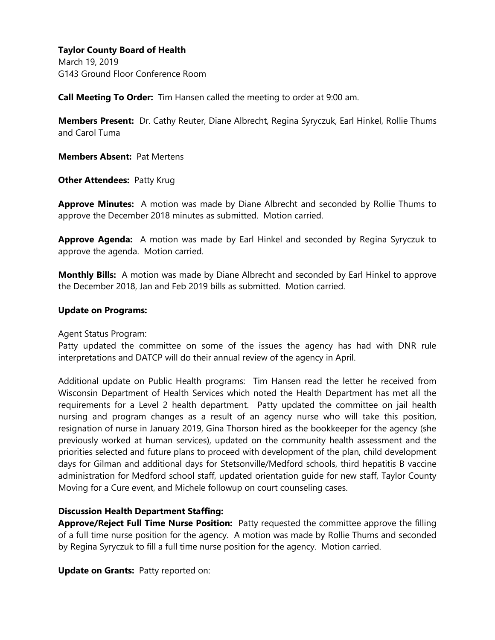March 19, 2019 G143 Ground Floor Conference Room

**Call Meeting To Order:** Tim Hansen called the meeting to order at 9:00 am.

**Members Present:** Dr. Cathy Reuter, Diane Albrecht, Regina Syryczuk, Earl Hinkel, Rollie Thums and Carol Tuma

**Members Absent:** Pat Mertens

**Other Attendees: Patty Krug** 

**Approve Minutes:** A motion was made by Diane Albrecht and seconded by Rollie Thums to approve the December 2018 minutes as submitted. Motion carried.

**Approve Agenda:** A motion was made by Earl Hinkel and seconded by Regina Syryczuk to approve the agenda. Motion carried.

**Monthly Bills:** A motion was made by Diane Albrecht and seconded by Earl Hinkel to approve the December 2018, Jan and Feb 2019 bills as submitted. Motion carried.

### **Update on Programs:**

Agent Status Program:

Patty updated the committee on some of the issues the agency has had with DNR rule interpretations and DATCP will do their annual review of the agency in April.

Additional update on Public Health programs: Tim Hansen read the letter he received from Wisconsin Department of Health Services which noted the Health Department has met all the requirements for a Level 2 health department. Patty updated the committee on jail health nursing and program changes as a result of an agency nurse who will take this position, resignation of nurse in January 2019, Gina Thorson hired as the bookkeeper for the agency (she previously worked at human services), updated on the community health assessment and the priorities selected and future plans to proceed with development of the plan, child development days for Gilman and additional days for Stetsonville/Medford schools, third hepatitis B vaccine administration for Medford school staff, updated orientation guide for new staff, Taylor County Moving for a Cure event, and Michele followup on court counseling cases.

### **Discussion Health Department Staffing:**

**Approve/Reject Full Time Nurse Position:** Patty requested the committee approve the filling of a full time nurse position for the agency. A motion was made by Rollie Thums and seconded by Regina Syryczuk to fill a full time nurse position for the agency. Motion carried.

**Update on Grants:** Patty reported on: